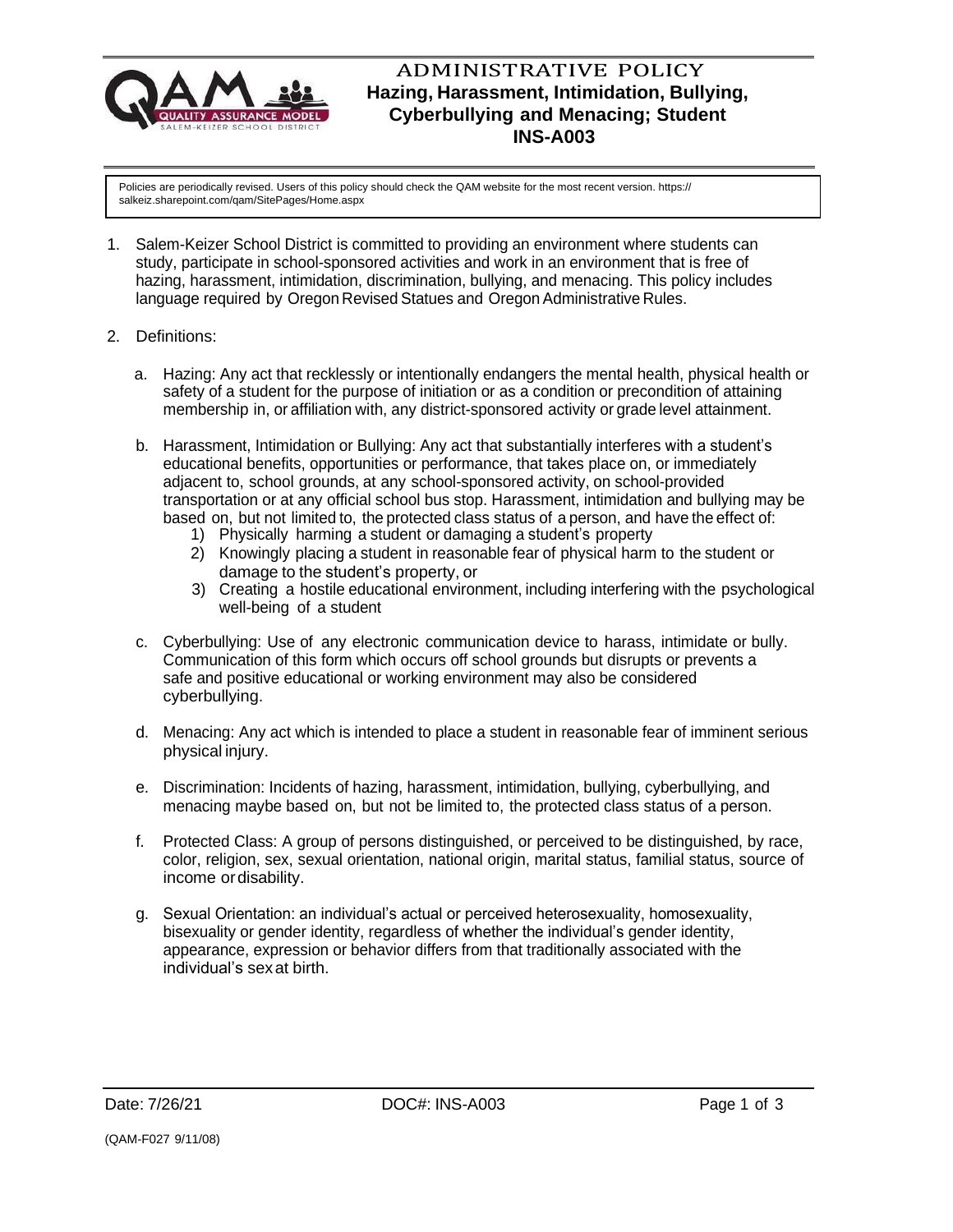

## ADMINISTRATIVE POLICY **Hazing, Harassment, Intimidation, Bullying, Cyberbullying and Menacing; Student INS-A003**

Policies are periodically revised. Users of this policy should check the QAM website for the most recent version. https:// salkeiz.sharepoint.com/qam/SitePages/Home.aspx

- 1. Salem-Keizer School District is committed to providing an environment where students can study, participate in school-sponsored activities and work in an environment that is free of hazing, harassment, intimidation, discrimination, bullying, and menacing. This policy includes language required by Oregon Revised Statues and Oregon Administrative Rules.
- 2. Definitions:
	- a. Hazing: Any act that recklessly or intentionally endangers the mental health, physical health or safety of a student for the purpose of initiation or as a condition or precondition of attaining membership in, or affiliation with, any district-sponsored activity or grade level attainment.
	- b. Harassment, Intimidation or Bullying: Any act that substantially interferes with a student's educational benefits, opportunities or performance, that takes place on, or immediately adjacent to, school grounds, at any school-sponsored activity, on school-provided transportation or at any official school bus stop. Harassment, intimidation and bullying may be based on, but not limited to, the protected class status of a person, and have the effect of:
		- 1) Physically harming a student or damaging a student's property
		- 2) Knowingly placing a student in reasonable fear of physical harm to the student or damage to the student's property, or
		- 3) Creating a hostile educational environment, including interfering with the psychological well-being of a student
	- c. Cyberbullying: Use of any electronic communication device to harass, intimidate or bully. Communication of this form which occurs off school grounds but disrupts or prevents a safe and positive educational or working environment may also be considered cyberbullying.
	- d. Menacing: Any act which is intended to place a student in reasonable fear of imminent serious physical injury.
	- e. Discrimination: Incidents of hazing, harassment, intimidation, bullying, cyberbullying, and menacing maybe based on, but not be limited to, the protected class status of a person.
	- f. Protected Class: A group of persons distinguished, or perceived to be distinguished, by race, color, religion, sex, sexual orientation, national origin, marital status, familial status, source of income ordisability.
	- g. Sexual Orientation: an individual's actual or perceived heterosexuality, homosexuality, bisexuality or gender identity, regardless of whether the individual's gender identity, appearance, expression or behavior differs from that traditionally associated with the individual's sexat birth.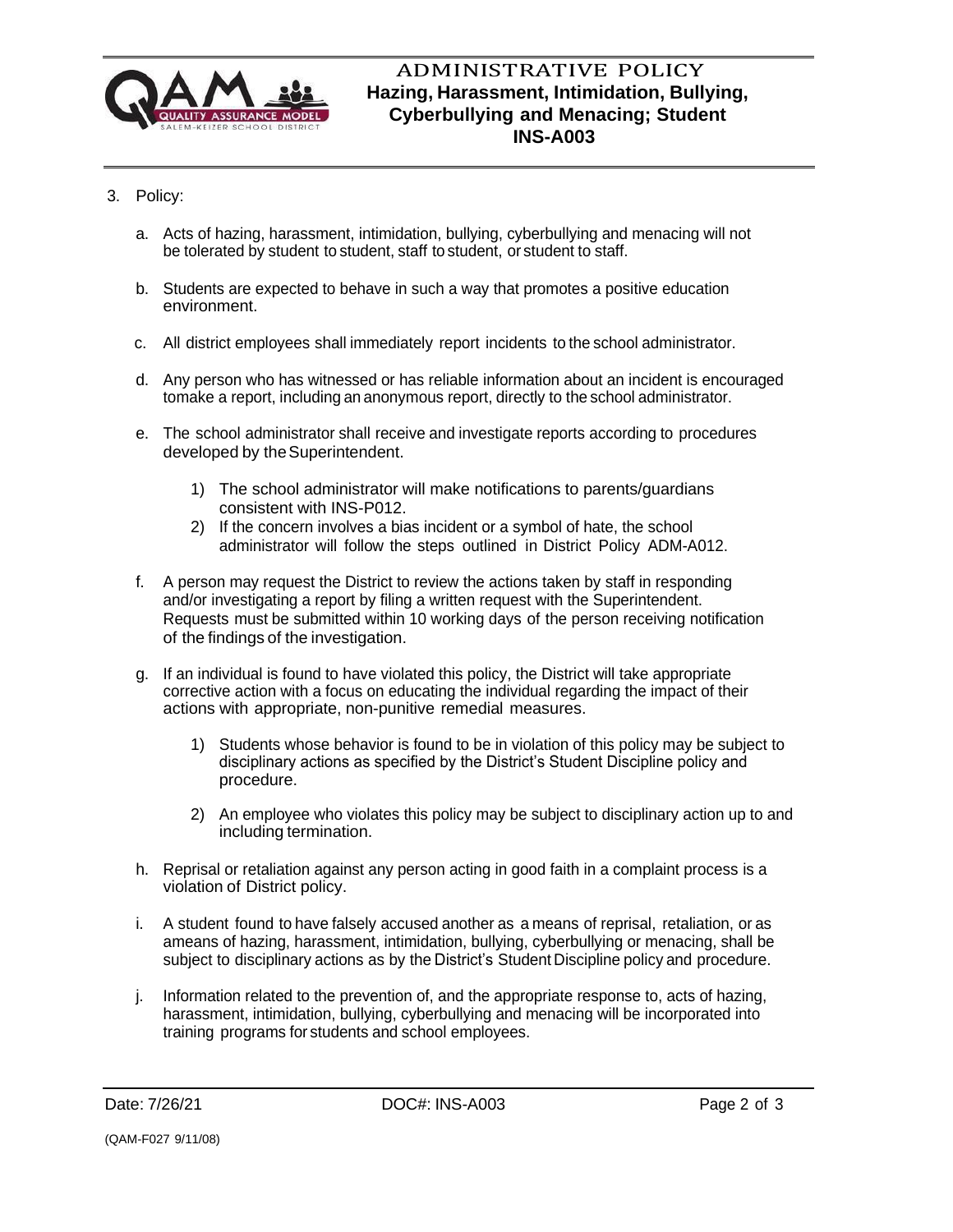

## ADMINISTRATIVE POLICY **Hazing, Harassment, Intimidation, Bullying, Cyberbullying and Menacing; Student INS-A003**

- 3. Policy:
	- a. Acts of hazing, harassment, intimidation, bullying, cyberbullying and menacing will not be tolerated by student to student, staff to student, or student to staff.
	- b. Students are expected to behave in such a way that promotes a positive education environment.
	- c. All district employees shall immediately report incidents to the school administrator.
	- d. Any person who has witnessed or has reliable information about an incident is encouraged tomake a report, including an anonymous report, directly to the school administrator.
	- e. The school administrator shall receive and investigate reports according to procedures developed by the Superintendent.
		- 1) The school administrator will make notifications to parents/guardians consistent with INS-P012.
		- 2) If the concern involves a bias incident or a symbol of hate, the school administrator will follow the steps outlined in District Policy ADM-A012.
	- f. A person may request the District to review the actions taken by staff in responding and/or investigating a report by filing a written request with the Superintendent. Requests must be submitted within 10 working days of the person receiving notification of the findings of the investigation.
	- g. If an individual is found to have violated this policy, the District will take appropriate corrective action with a focus on educating the individual regarding the impact of their actions with appropriate, non-punitive remedial measures.
		- 1) Students whose behavior is found to be in violation of this policy may be subject to disciplinary actions as specified by the District's Student Discipline policy and procedure.
		- 2) An employee who violates this policy may be subject to disciplinary action up to and including termination.
	- h. Reprisal or retaliation against any person acting in good faith in a complaint process is a violation of District policy.
	- i. A student found to have falsely accused another as a means of reprisal, retaliation, or as ameans of hazing, harassment, intimidation, bullying, cyberbullying or menacing, shall be subject to disciplinary actions as by the District's Student Discipline policy and procedure.
	- j. Information related to the prevention of, and the appropriate response to, acts of hazing, harassment, intimidation, bullying, cyberbullying and menacing will be incorporated into training programs for students and school employees.